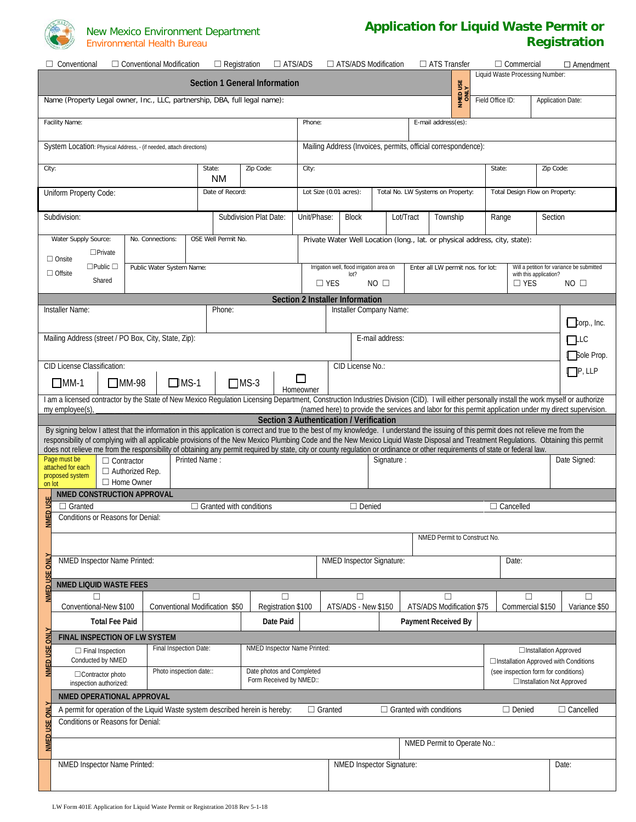

## New Mexico Environment Department Environmental Health Bureau

## **Application for Liquid Waste Permit or Registration**

|                                                                                                                                                                                                                                     | $\Box$ Conventional<br>$\Box$ Conventional Modification                                                                                                                                      | $\Box$ Registration                                           | $\Box$ ATS/ADS               |                                 |                                                                                               |                  | $\Box$ ATS/ADS Modification | $\Box$ ATS Transfer               |       | $\Box$ Commercial | $\Box$ Amendment                                                                                        |
|-------------------------------------------------------------------------------------------------------------------------------------------------------------------------------------------------------------------------------------|----------------------------------------------------------------------------------------------------------------------------------------------------------------------------------------------|---------------------------------------------------------------|------------------------------|---------------------------------|-----------------------------------------------------------------------------------------------|------------------|-----------------------------|-----------------------------------|-------|-------------------|---------------------------------------------------------------------------------------------------------|
| Liquid Waste Processing Number:<br><b>Section 1 General Information</b><br>NMED USE<br>ONLY                                                                                                                                         |                                                                                                                                                                                              |                                                               |                              |                                 |                                                                                               |                  |                             |                                   |       |                   |                                                                                                         |
| Field Office ID:<br><b>Application Date:</b><br>Name (Property Legal owner, Inc., LLC, partnership, DBA, full legal name):                                                                                                          |                                                                                                                                                                                              |                                                               |                              |                                 |                                                                                               |                  |                             |                                   |       |                   |                                                                                                         |
|                                                                                                                                                                                                                                     | Facility Name:                                                                                                                                                                               | Phone:<br>E-mail address(es):                                 |                              |                                 |                                                                                               |                  |                             |                                   |       |                   |                                                                                                         |
|                                                                                                                                                                                                                                     | System Location: Physical Address, - (if needed, attach directions)                                                                                                                          | Mailing Address (Invoices, permits, official correspondence): |                              |                                 |                                                                                               |                  |                             |                                   |       |                   |                                                                                                         |
| Zip Code:<br>City:<br>State:<br><b>NM</b>                                                                                                                                                                                           |                                                                                                                                                                                              |                                                               |                              |                                 | State:<br>Zip Code:<br>City:                                                                  |                  |                             |                                   |       |                   |                                                                                                         |
| Uniform Property Code:<br>Date of Record:                                                                                                                                                                                           |                                                                                                                                                                                              |                                                               |                              |                                 | Lot Size (0.01 acres):<br>Total No. LW Systems on Property:<br>Total Design Flow on Property: |                  |                             |                                   |       |                   |                                                                                                         |
| Subdivision:<br>Subdivision Plat Date:                                                                                                                                                                                              |                                                                                                                                                                                              |                                                               |                              |                                 | Unit/Phase:<br><b>Block</b><br>Lot/Tract<br>Township                                          |                  |                             |                                   | Range | Section           |                                                                                                         |
| Water Supply Source:<br>OSE Well Permit No.<br>No. Connections:<br>Private Water Well Location (long., lat. or physical address, city, state):                                                                                      |                                                                                                                                                                                              |                                                               |                              |                                 |                                                                                               |                  |                             |                                   |       |                   |                                                                                                         |
|                                                                                                                                                                                                                                     | $\Box$ Private<br>$\Box$ Onsite                                                                                                                                                              |                                                               |                              |                                 |                                                                                               |                  |                             |                                   |       |                   |                                                                                                         |
|                                                                                                                                                                                                                                     | $\Box$ Public $\Box$<br>Public Water System Name:<br>$\Box$ Offsite                                                                                                                          |                                                               |                              |                                 | Irrigation well, flood irrigation area on                                                     | lot?             |                             | Enter all LW permit nos. for lot: |       |                   | Will a petition for variance be submitted<br>with this application?                                     |
|                                                                                                                                                                                                                                     | Shared                                                                                                                                                                                       |                                                               |                              | $\Box$ YES                      |                                                                                               |                  | NO <sub>1</sub>             |                                   |       | $\Box$ YES        | $NO$ $\square$                                                                                          |
|                                                                                                                                                                                                                                     |                                                                                                                                                                                              |                                                               |                              | Section 2 Installer Information |                                                                                               |                  |                             |                                   |       |                   |                                                                                                         |
|                                                                                                                                                                                                                                     | Installer Name:                                                                                                                                                                              | Phone:                                                        |                              |                                 |                                                                                               |                  | Installer Company Name:     |                                   |       |                   |                                                                                                         |
|                                                                                                                                                                                                                                     |                                                                                                                                                                                              |                                                               |                              |                                 |                                                                                               |                  |                             |                                   |       |                   | $\Box$ orp., Inc.                                                                                       |
|                                                                                                                                                                                                                                     | Mailing Address (street / PO Box, City, State, Zip):                                                                                                                                         |                                                               |                              |                                 |                                                                                               |                  | E-mail address:             |                                   |       |                   | $r$ LLC                                                                                                 |
|                                                                                                                                                                                                                                     |                                                                                                                                                                                              |                                                               |                              |                                 |                                                                                               |                  |                             |                                   |       |                   | <b>Sole Prop.</b>                                                                                       |
|                                                                                                                                                                                                                                     | CID License Classification:                                                                                                                                                                  |                                                               |                              | □                               |                                                                                               | CID License No.: |                             |                                   |       |                   | $\Box$ P, LLP                                                                                           |
|                                                                                                                                                                                                                                     | $\Box$ MS-1<br>$\Box$ MM-1<br>$\Box$ MM-98                                                                                                                                                   |                                                               | $\Box$ MS-3                  | Homeowner                       |                                                                                               |                  |                             |                                   |       |                   |                                                                                                         |
|                                                                                                                                                                                                                                     | I am a licensed contractor by the State of New Mexico Regulation Licensing Department, Construction Industries Division (CID). I will either personally install the work myself or authorize |                                                               |                              |                                 |                                                                                               |                  |                             |                                   |       |                   |                                                                                                         |
|                                                                                                                                                                                                                                     | my employee(s)                                                                                                                                                                               |                                                               |                              |                                 |                                                                                               |                  |                             |                                   |       |                   | (named here) to provide the services and labor for this permit application under my direct supervision. |
| Section 3 Authentication / Verification<br>By signing below I attest that the information in this application is correct and true to the best of my knowledge. I understand the issuing of this permit does not relieve me from the |                                                                                                                                                                                              |                                                               |                              |                                 |                                                                                               |                  |                             |                                   |       |                   |                                                                                                         |
| responsibility of complying with all applicable provisions of the New Mexico Plumbing Code and the New Mexico Liquid Waste Disposal and Treatment Regulations. Obtaining this permit                                                |                                                                                                                                                                                              |                                                               |                              |                                 |                                                                                               |                  |                             |                                   |       |                   |                                                                                                         |
|                                                                                                                                                                                                                                     | does not relieve me from the responsibility of obtaining any permit required by state, city or county regulation or ordinance or other requirements of state or federal law.<br>Page must be |                                                               |                              |                                 |                                                                                               |                  |                             |                                   |       |                   |                                                                                                         |
|                                                                                                                                                                                                                                     | Printed Name:<br>Signature:<br>Date Signed:<br>$\Box$ Contractor<br>attached for each                                                                                                        |                                                               |                              |                                 |                                                                                               |                  |                             |                                   |       |                   |                                                                                                         |
| $\Box$ Authorized Rep.<br>proposed system<br>$\Box$ Home Owner                                                                                                                                                                      |                                                                                                                                                                                              |                                                               |                              |                                 |                                                                                               |                  |                             |                                   |       |                   |                                                                                                         |
| on lot<br>NMED CONSTRUCTION APPROVAL                                                                                                                                                                                                |                                                                                                                                                                                              |                                                               |                              |                                 |                                                                                               |                  |                             |                                   |       |                   |                                                                                                         |
|                                                                                                                                                                                                                                     | $\Box$ Granted<br>$\Box$ Granted with conditions                                                                                                                                             |                                                               |                              | $\Box$ Denied                   |                                                                                               |                  |                             | $\Box$ Cancelled                  |       |                   |                                                                                                         |
| <b>IMED US</b>                                                                                                                                                                                                                      | Conditions or Reasons for Denial:                                                                                                                                                            |                                                               |                              |                                 |                                                                                               |                  |                             |                                   |       |                   |                                                                                                         |
|                                                                                                                                                                                                                                     |                                                                                                                                                                                              |                                                               |                              |                                 |                                                                                               |                  |                             | NMED Permit to Construct No.      |       |                   |                                                                                                         |
|                                                                                                                                                                                                                                     |                                                                                                                                                                                              |                                                               |                              |                                 |                                                                                               |                  |                             |                                   |       |                   |                                                                                                         |
| NMED USE ON                                                                                                                                                                                                                         | NMED Inspector Name Printed:                                                                                                                                                                 |                                                               |                              |                                 |                                                                                               |                  | NMED Inspector Signature:   |                                   |       | Date:             |                                                                                                         |
|                                                                                                                                                                                                                                     | NMED LIQUID WASTE FEES                                                                                                                                                                       |                                                               |                              |                                 |                                                                                               |                  |                             |                                   |       |                   |                                                                                                         |
|                                                                                                                                                                                                                                     | г<br>П                                                                                                                                                                                       |                                                               | П                            |                                 |                                                                                               | п                |                             | П                                 |       | П                 | П                                                                                                       |
|                                                                                                                                                                                                                                     | Conventional Modification \$50<br>Conventional-New \$100                                                                                                                                     |                                                               | Registration \$100           |                                 | ATS/ADS - New \$150                                                                           |                  |                             | ATS/ADS Modification \$75         |       | Commercial \$150  | Variance \$50                                                                                           |
|                                                                                                                                                                                                                                     | <b>Total Fee Paid</b>                                                                                                                                                                        |                                                               |                              |                                 |                                                                                               |                  |                             | <b>Payment Received By</b>        |       |                   |                                                                                                         |
|                                                                                                                                                                                                                                     |                                                                                                                                                                                              |                                                               | Date Paid                    |                                 |                                                                                               |                  |                             |                                   |       |                   |                                                                                                         |
|                                                                                                                                                                                                                                     | FINAL INSPECTION OF LW SYSTEM                                                                                                                                                                |                                                               |                              |                                 |                                                                                               |                  |                             |                                   |       |                   |                                                                                                         |
|                                                                                                                                                                                                                                     | Final Inspection Date:<br>$\Box$ Final Inspection                                                                                                                                            |                                                               | NMED Inspector Name Printed: |                                 |                                                                                               |                  |                             |                                   |       |                   | □Installation Approved                                                                                  |
| NMED USE ONL                                                                                                                                                                                                                        | Conducted by NMED<br>Photo inspection date::<br>□Contractor photo                                                                                                                            |                                                               | Date photos and Completed    |                                 |                                                                                               |                  |                             |                                   |       |                   | □Installation Approved with Conditions<br>(see inspection form for conditions)                          |
|                                                                                                                                                                                                                                     | inspection authorized:                                                                                                                                                                       |                                                               | Form Received by NMED::      |                                 |                                                                                               |                  |                             |                                   |       |                   | □Installation Not Approved                                                                              |
|                                                                                                                                                                                                                                     | NMED OPERATIONAL APPROVAL                                                                                                                                                                    |                                                               |                              |                                 |                                                                                               |                  |                             |                                   |       |                   |                                                                                                         |
|                                                                                                                                                                                                                                     | A permit for operation of the Liquid Waste system described herein is hereby:                                                                                                                |                                                               |                              | $\Box$ Granted                  |                                                                                               |                  |                             | $\Box$ Granted with conditions    |       | $\Box$ Denied     | $\Box$ Cancelled                                                                                        |
|                                                                                                                                                                                                                                     | Conditions or Reasons for Denial:                                                                                                                                                            |                                                               |                              |                                 |                                                                                               |                  |                             |                                   |       |                   |                                                                                                         |
| NMED USE ONLY                                                                                                                                                                                                                       |                                                                                                                                                                                              |                                                               |                              |                                 |                                                                                               |                  |                             | NMED Permit to Operate No.:       |       |                   |                                                                                                         |
|                                                                                                                                                                                                                                     | NMED Inspector Name Printed:                                                                                                                                                                 |                                                               |                              |                                 |                                                                                               |                  | NMED Inspector Signature:   |                                   |       |                   | Date:                                                                                                   |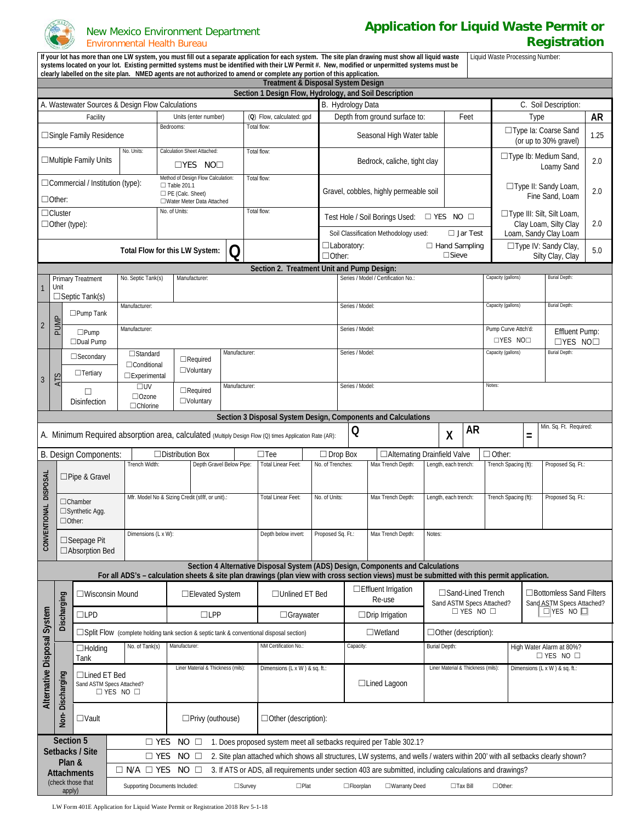

## New Mexico Environment Department Environmental Health Bureau

## **Application for Liquid Waste Permit or Registration**

| If your lot has more than one LW system, you must fill out a separate application for each system. The site plan drawing must show all liquid waste<br>Liquid Waste Processing Number:<br>systems located on your lot. Existing permitted systems must be identified with their LW Permit #. New, modified or unpermitted systems must be<br>clearly labelled on the site plan. NMED agents are not authorized to amend or complete any portion of this application. |                                                                                                        |                                      |                                                                            |                                                                                                                                              |                                                                                                                               |                                                                                                          |                                                                                       |                                 |                                          |                                                        |                                                |                                           |                     |                                                                                |                       |  |
|----------------------------------------------------------------------------------------------------------------------------------------------------------------------------------------------------------------------------------------------------------------------------------------------------------------------------------------------------------------------------------------------------------------------------------------------------------------------|--------------------------------------------------------------------------------------------------------|--------------------------------------|----------------------------------------------------------------------------|----------------------------------------------------------------------------------------------------------------------------------------------|-------------------------------------------------------------------------------------------------------------------------------|----------------------------------------------------------------------------------------------------------|---------------------------------------------------------------------------------------|---------------------------------|------------------------------------------|--------------------------------------------------------|------------------------------------------------|-------------------------------------------|---------------------|--------------------------------------------------------------------------------|-----------------------|--|
| <b>Treatment &amp; Disposal System Design</b>                                                                                                                                                                                                                                                                                                                                                                                                                        |                                                                                                        |                                      |                                                                            |                                                                                                                                              |                                                                                                                               |                                                                                                          |                                                                                       |                                 |                                          |                                                        |                                                |                                           |                     |                                                                                |                       |  |
| Section 1 Design Flow, Hydrology, and Soil Description<br>B. Hydrology Data<br>A. Wastewater Sources & Design Flow Calculations                                                                                                                                                                                                                                                                                                                                      |                                                                                                        |                                      |                                                                            |                                                                                                                                              |                                                                                                                               |                                                                                                          |                                                                                       |                                 |                                          |                                                        |                                                |                                           |                     |                                                                                |                       |  |
|                                                                                                                                                                                                                                                                                                                                                                                                                                                                      |                                                                                                        |                                      |                                                                            |                                                                                                                                              |                                                                                                                               |                                                                                                          |                                                                                       |                                 |                                          |                                                        |                                                |                                           |                     |                                                                                | C. Soil Description:  |  |
| Facility<br>Units (enter number)<br>Total flow:<br>Bedrooms:                                                                                                                                                                                                                                                                                                                                                                                                         |                                                                                                        |                                      | (Q) Flow, calculated: gpd                                                  |                                                                                                                                              | Depth from ground surface to:<br>Feet                                                                                         |                                                                                                          |                                                                                       |                                 |                                          |                                                        | Type                                           |                                           | <b>AR</b>           |                                                                                |                       |  |
| □ Single Family Residence<br>Calculation Sheet Attached:<br>No. Units:                                                                                                                                                                                                                                                                                                                                                                                               |                                                                                                        |                                      |                                                                            |                                                                                                                                              | Seasonal High Water table                                                                                                     |                                                                                                          |                                                                                       |                                 |                                          | □Type Ia: Coarse Sand<br>1.25<br>(or up to 30% gravel) |                                                |                                           |                     |                                                                                |                       |  |
| Total flow:<br>$\Box$ Multiple Family Units<br>$\Box$ YES NO $\Box$                                                                                                                                                                                                                                                                                                                                                                                                  |                                                                                                        |                                      |                                                                            |                                                                                                                                              | Bedrock, caliche, tight clay                                                                                                  |                                                                                                          |                                                                                       |                                 |                                          |                                                        | □ Type Ib: Medium Sand,<br>2.0<br>Loamy Sand   |                                           |                     |                                                                                |                       |  |
| Method of Design Flow Calculation:<br>$\Box$ Commercial / Institution (type):<br>$\Box$ Table 201.1<br>PE (Calc. Sheet)<br>$\Box$ Other:<br>□Water Meter Data Attached                                                                                                                                                                                                                                                                                               |                                                                                                        |                                      | Total flow:                                                                |                                                                                                                                              | □Type II: Sandy Loam,<br>Gravel, cobbles, highly permeable soil                                                               |                                                                                                          |                                                                                       |                                 |                                          | Fine Sand, Loam                                        | 2.0                                            |                                           |                     |                                                                                |                       |  |
| No. of Units:<br>Total flow:<br>$\Box$ Cluster                                                                                                                                                                                                                                                                                                                                                                                                                       |                                                                                                        |                                      |                                                                            |                                                                                                                                              |                                                                                                                               |                                                                                                          | □Type III: Silt, Silt Loam,<br>Test Hole / Soil Borings Used:<br>$\Box$ YES NO $\Box$ |                                 |                                          |                                                        |                                                |                                           |                     |                                                                                |                       |  |
| $\Box$ Other (type):                                                                                                                                                                                                                                                                                                                                                                                                                                                 |                                                                                                        |                                      |                                                                            |                                                                                                                                              | Soil Classification Methodology used:<br>$\Box$ Jar Test                                                                      |                                                                                                          |                                                                                       |                                 |                                          |                                                        | Clay Loam, Silty Clay<br>Loam, Sandy Clay Loam |                                           | 2.0                 |                                                                                |                       |  |
| Total Flow for this LW System:<br>( )                                                                                                                                                                                                                                                                                                                                                                                                                                |                                                                                                        |                                      |                                                                            |                                                                                                                                              |                                                                                                                               | $\Box$ Laboratory:<br>$\Box$ Hand Sampling<br>$\square$ Sieve<br>$\Box$ Other:                           |                                                                                       |                                 |                                          | □ Type IV: Sandy Clay,<br>Silty Clay, Clay             |                                                | 5.0                                       |                     |                                                                                |                       |  |
|                                                                                                                                                                                                                                                                                                                                                                                                                                                                      |                                                                                                        | <b>Primary Treatment</b>             | No. Septic Tank(s)                                                         | Manufacturer:                                                                                                                                |                                                                                                                               | Section 2. Treatment Unit and Pump Design:                                                               |                                                                                       |                                 | Series / Model / Certification No.:      |                                                        |                                                |                                           | Capacity (gallons)  |                                                                                | <b>Burial Depth:</b>  |  |
| $\mathbf{1}$                                                                                                                                                                                                                                                                                                                                                                                                                                                         | Unit                                                                                                   |                                      |                                                                            |                                                                                                                                              |                                                                                                                               |                                                                                                          |                                                                                       |                                 |                                          |                                                        |                                                |                                           |                     |                                                                                |                       |  |
|                                                                                                                                                                                                                                                                                                                                                                                                                                                                      | $\Box$ Septic Tank(s)<br>Manufacturer:                                                                 |                                      |                                                                            |                                                                                                                                              | Series / Model:                                                                                                               |                                                                                                          |                                                                                       |                                 |                                          | <b>Burial Depth:</b><br>Capacity (gallons)             |                                                |                                           |                     |                                                                                |                       |  |
| $\sqrt{2}$                                                                                                                                                                                                                                                                                                                                                                                                                                                           | PUMP                                                                                                   | $\Box$ Pump Tank<br>$\square$ Pump   | Manufacturer:                                                              |                                                                                                                                              |                                                                                                                               |                                                                                                          |                                                                                       | Series / Model:                 |                                          |                                                        |                                                |                                           | Pump Curve Attch'd: |                                                                                | <b>Effluent Pump:</b> |  |
|                                                                                                                                                                                                                                                                                                                                                                                                                                                                      |                                                                                                        | $\Box$ Dual Pump<br>$\Box$ Secondary | $\Box$ Standard                                                            |                                                                                                                                              | Manufacturer:                                                                                                                 |                                                                                                          |                                                                                       |                                 | Series / Model:                          |                                                        |                                                |                                           |                     | □YES NO□<br>$\Box$ YES NO $\Box$<br>Capacity (gallons)<br><b>Burial Depth:</b> |                       |  |
|                                                                                                                                                                                                                                                                                                                                                                                                                                                                      |                                                                                                        | $\Box$ Tertiary                      | $\Box$ Required<br>□Conditional<br>$\Box$ Voluntary<br>$\Box$ Experimental |                                                                                                                                              |                                                                                                                               |                                                                                                          |                                                                                       |                                 |                                          |                                                        |                                                |                                           |                     |                                                                                |                       |  |
| $\mathfrak{Z}$                                                                                                                                                                                                                                                                                                                                                                                                                                                       | ATS<br>Manufacturer:<br>$\square$ UV<br>$\Box$ Required<br>□<br>□Ozone                                 |                                      |                                                                            |                                                                                                                                              |                                                                                                                               | Notes:<br>Series / Model:                                                                                |                                                                                       |                                 |                                          |                                                        |                                                |                                           |                     |                                                                                |                       |  |
| $\Box$ Voluntary<br><b>Disinfection</b><br>□Chlorine                                                                                                                                                                                                                                                                                                                                                                                                                 |                                                                                                        |                                      |                                                                            |                                                                                                                                              |                                                                                                                               |                                                                                                          |                                                                                       |                                 |                                          |                                                        |                                                |                                           |                     |                                                                                |                       |  |
| Section 3 Disposal System Design, Components and Calculations                                                                                                                                                                                                                                                                                                                                                                                                        |                                                                                                        |                                      |                                                                            |                                                                                                                                              |                                                                                                                               |                                                                                                          |                                                                                       |                                 |                                          |                                                        |                                                |                                           |                     |                                                                                |                       |  |
| Min. Sq. Ft. Required:<br><b>AR</b><br>Q<br>X<br>A. Minimum Required absorption area, calculated (Multiply Design Flow (Q) times Application Rate (AR):<br>$=$                                                                                                                                                                                                                                                                                                       |                                                                                                        |                                      |                                                                            |                                                                                                                                              |                                                                                                                               |                                                                                                          |                                                                                       |                                 |                                          |                                                        |                                                |                                           |                     |                                                                                |                       |  |
| B. Design Components:                                                                                                                                                                                                                                                                                                                                                                                                                                                |                                                                                                        |                                      | □ Distribution Box                                                         |                                                                                                                                              | $\square$ Tee                                                                                                                 | $\Box$ Drop Box                                                                                          | □ Alternating Drainfield Valve                                                        |                                 |                                          |                                                        | $\Box$ Other:<br>Trench Spacing (ft):          |                                           |                     |                                                                                |                       |  |
|                                                                                                                                                                                                                                                                                                                                                                                                                                                                      | □Pipe & Gravel                                                                                         |                                      | Trench Width:                                                              | Depth Gravel Below Pipe:                                                                                                                     |                                                                                                                               | <b>Total Linear Feet:</b>                                                                                | No. of Trenches:                                                                      |                                 | Max Trench Depth:                        |                                                        | Length, each trench:                           |                                           |                     |                                                                                | Proposed Sq. Ft.:     |  |
|                                                                                                                                                                                                                                                                                                                                                                                                                                                                      | <b>NAL DISPOSAL</b><br>$\Box$ Chamber<br>□Synthetic Agg.<br>CONVENTIO<br>$\Box$ Other:<br>□Seepage Pit |                                      |                                                                            | Mfr. Model No & Sizing Credit (sf/lf, or unit).:                                                                                             |                                                                                                                               | <b>Total Linear Feet:</b>                                                                                | No. of Units:                                                                         | Max Trench Depth:               |                                          | Length, each trench:                                   |                                                | Trench Spacing (ft):<br>Proposed Sq. Ft.: |                     |                                                                                |                       |  |
|                                                                                                                                                                                                                                                                                                                                                                                                                                                                      |                                                                                                        |                                      |                                                                            |                                                                                                                                              |                                                                                                                               |                                                                                                          |                                                                                       |                                 |                                          |                                                        |                                                |                                           |                     |                                                                                |                       |  |
|                                                                                                                                                                                                                                                                                                                                                                                                                                                                      |                                                                                                        |                                      | Dimensions (L x W):                                                        |                                                                                                                                              |                                                                                                                               | Depth below invert:                                                                                      | Proposed Sq. Ft.:                                                                     |                                 | Max Trench Depth:                        | Notes:                                                 |                                                |                                           |                     |                                                                                |                       |  |
|                                                                                                                                                                                                                                                                                                                                                                                                                                                                      | □ Absorption Bed<br>Section 4 Alternative Disposal System (ADS) Design, Components and Calculations    |                                      |                                                                            |                                                                                                                                              |                                                                                                                               |                                                                                                          |                                                                                       |                                 |                                          |                                                        |                                                |                                           |                     |                                                                                |                       |  |
|                                                                                                                                                                                                                                                                                                                                                                                                                                                                      |                                                                                                        |                                      |                                                                            | For all ADS's - calculation sheets & site plan drawings (plan view with cross section views) must be submitted with this permit application. |                                                                                                                               |                                                                                                          |                                                                                       |                                 |                                          |                                                        |                                                |                                           |                     |                                                                                |                       |  |
|                                                                                                                                                                                                                                                                                                                                                                                                                                                                      | Discharging                                                                                            | $\Box$ Wisconsin Mound               |                                                                            | □ Elevated System                                                                                                                            |                                                                                                                               | □ Unlined ET Bed                                                                                         |                                                                                       | □ Effluent Irrigation<br>Re-use |                                          | □Sand-Lined Trench<br>Sand ASTM Specs Attached?        |                                                |                                           |                     | □Bottomless Sand Filters<br>Sand ASTM Specs Attached?                          |                       |  |
|                                                                                                                                                                                                                                                                                                                                                                                                                                                                      |                                                                                                        | $\square$ LPD                        |                                                                            | $\square$ LPP                                                                                                                                |                                                                                                                               |                                                                                                          | □Graywater                                                                            |                                 | $\Box$ YES NO $\Box$<br>□Drip Irrigation |                                                        |                                                | $\Box$ YES NO $\Box$                      |                     |                                                                                |                       |  |
|                                                                                                                                                                                                                                                                                                                                                                                                                                                                      |                                                                                                        |                                      |                                                                            | $\Box$ Split Flow (complete holding tank section & septic tank & conventional disposal section)                                              |                                                                                                                               |                                                                                                          |                                                                                       |                                 | $\Box$ Wetland                           | □ Other (description):                                 |                                                |                                           |                     |                                                                                |                       |  |
| Alternative Disposal System                                                                                                                                                                                                                                                                                                                                                                                                                                          | Non-Discharging                                                                                        | $\Box$ Holding<br>Tank               | No. of Tank(s)                                                             | Manufacturer:                                                                                                                                |                                                                                                                               | NM Certification No.                                                                                     |                                                                                       | Capacity:                       |                                          | <b>Burial Depth:</b>                                   |                                                |                                           |                     | High Water Alarm at 80%?<br>$\Box$ YES NO $\Box$                               |                       |  |
|                                                                                                                                                                                                                                                                                                                                                                                                                                                                      |                                                                                                        | □Lined ET Bed                        |                                                                            | Liner Material & Thickness (mils):                                                                                                           |                                                                                                                               | Dimensions (L x W) & sq. ft.:                                                                            |                                                                                       | □Lined Lagoon                   |                                          | Liner Material & Thickness (mils):                     |                                                | Dimensions (L x W) & sq. ft.:             |                     |                                                                                |                       |  |
|                                                                                                                                                                                                                                                                                                                                                                                                                                                                      |                                                                                                        |                                      | Sand ASTM Specs Attached?<br>$\Box$ YES NO $\Box$                          |                                                                                                                                              |                                                                                                                               |                                                                                                          |                                                                                       |                                 |                                          |                                                        |                                                |                                           |                     |                                                                                |                       |  |
|                                                                                                                                                                                                                                                                                                                                                                                                                                                                      |                                                                                                        | $\Box$ Vault                         | □Privy (outhouse)                                                          |                                                                                                                                              |                                                                                                                               | $\Box$ Other (description):                                                                              |                                                                                       |                                 |                                          |                                                        |                                                |                                           |                     |                                                                                |                       |  |
|                                                                                                                                                                                                                                                                                                                                                                                                                                                                      | Section 5                                                                                              |                                      | $\square$ YES                                                              | $NO$ $\square$                                                                                                                               |                                                                                                                               | 1. Does proposed system meet all setbacks required per Table 302.1?                                      |                                                                                       |                                 |                                          |                                                        |                                                |                                           |                     |                                                                                |                       |  |
| Setbacks / Site<br>$\square$ YES                                                                                                                                                                                                                                                                                                                                                                                                                                     |                                                                                                        |                                      | NO <sub>1</sub>                                                            |                                                                                                                                              | 2. Site plan attached which shows all structures, LW systems, and wells / waters within 200' with all setbacks clearly shown? |                                                                                                          |                                                                                       |                                 |                                          |                                                        |                                                |                                           |                     |                                                                                |                       |  |
|                                                                                                                                                                                                                                                                                                                                                                                                                                                                      | Plan &                                                                                                 | <b>Attachments</b>                   | $\Box$ N/A $\Box$ YES                                                      | $NO$ $\square$                                                                                                                               |                                                                                                                               | 3. If ATS or ADS, all requirements under section 403 are submitted, including calculations and drawings? |                                                                                       |                                 |                                          |                                                        |                                                |                                           |                     |                                                                                |                       |  |
|                                                                                                                                                                                                                                                                                                                                                                                                                                                                      | (check those that<br>apply)                                                                            |                                      |                                                                            | Supporting Documents Included:                                                                                                               | $\square$ Survey                                                                                                              | $\Box$ Plat<br>□Floorplan<br>□Warranty Deed<br>$\Box$ Tax Bill<br>$\Box$ Other:                          |                                                                                       |                                 |                                          |                                                        |                                                |                                           |                     |                                                                                |                       |  |